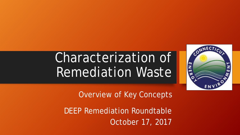# Characterization of Remediation Waste



Overview of Key Concepts

DEEP Remediation Roundtable October 17, 2017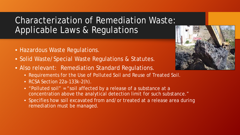## Characterization of Remediation Waste: Applicable Laws & Regulations

- Hazardous Waste Regulations.
- Solid Waste/Special Waste Regulations & Statutes.
- Also relevant: Remediation Standard Regulations.
	- Requirements for the Use of Polluted Soil and Reuse of Treated Soil.
	- RCSA Section 22a-133k-2(h).
	- "Polluted soil" = "soil affected by a release of a substance at a concentration above the analytical detection limit for such substance."
	- Specifies how soil excavated from and/or treated at a release area during remediation must be managed.

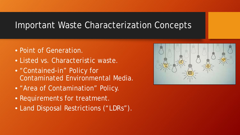#### Important Waste Characterization Concepts

- Point of Generation.
- Listed vs. Characteristic waste.
- "Contained-in" Policy for Contaminated Environmental Media.
- "Area of Contamination" Policy.
- Requirements for treatment.
- Land Disposal Restrictions ("LDRs").

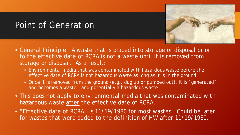### Point of Generation



- General Principle: A waste that is placed into storage or disposal prior to the effective date of RCRA is not a waste until it is removed from storage or disposal. As a result:
	- Environmental media that was contaminated with hazardous waste before the effective date of RCRA is not hazardous waste as long as it is in the ground.
	- Once it is removed from the ground (e.g., dug up or pumped out), it is "generated" and becomes a waste – and potentially a hazardous waste.
- This does not apply to environmental media that was contaminated with hazardous waste after the effective date of RCRA.
- "Effective date of RCRA" is 11/19/1980 for most wastes. Could be later for wastes that were added to the definition of HW after 11/19/1980.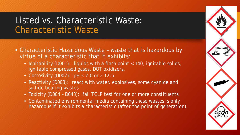### Listed vs. Characteristic Waste: Characteristic Waste

- Characteristic Hazardous Waste waste that is hazardous by virtue of a characteristic that it exhibits:
	- Ignitability (D001): liquids with a flash point < 140, ignitable solids, ignitable compressed gases, DOT oxidizers.
	- Corrosivity (D002):  $pH \le 2.0$  or  $\ge 12.5$ .
	- Reactivity (D003): react with water, explosives, some cyanide and sulfide bearing wastes.
	- Toxicity (D004 D043): fail TCLP test for one or more constituents.
	- Contaminated environmental media containing these wastes is only hazardous if it exhibits a characteristic (after the point of generation).

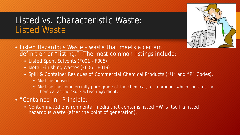#### Listed vs. Characteristic Waste: Listed Waste



- Listed Hazardous Waste waste that meets a certain definition or "listing." The most common listings include:
	- Listed Spent Solvents (F001 F005).
	- Metal Finishing Wastes (F006 F019).
	- Spill & Container Residues of Commercial Chemical Products ("U" and "P" Codes).
		- Must be unused.
		- Must be the commercially pure grade of the chemical, or a product which contains the chemical as the "sole active ingredient."
- "Contained-in" Principle:
	- Contaminated environmental media that contains listed HW is itself a listed hazardous waste (after the point of generation).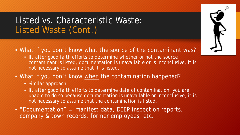#### Listed vs. Characteristic Waste: Listed Waste (Cont.)

- What if you don't know what the source of the contaminant was?
	- If, after good faith efforts to determine whether or not the source contaminant is listed, documentation is unavailable or is inconclusive, it is not necessary to assume that it is listed.
- What if you don't know when the contamination happened?
	- Similar approach.
	- If, after good faith efforts to determine date of contamination, you are unable to do so because documentation is unavailable or inconclusive, it is not necessary to assume that the contamination is listed.
- "Documentation" = manifest data, DEEP inspection reports, company & town records, former employees, etc.

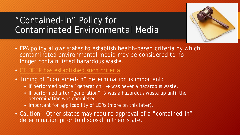## "Contained-in" Policy for Contaminated Environmental Media



- EPA policy allows states to establish health-based criteria by which contaminated environmental media may be considered to no longer contain listed hazardous waste.
- [CT DEEP has established such criteria.](http://www.ct.gov/deep/cwp/view.asp?a=2718&q=325454&deepNav_GID=1967)
- Timing of "contained-in" determination is important:
	- If performed before "generation" → was never a hazardous waste.
	- If performed after "generation"  $\rightarrow$  was a hazardous waste up until the determination was completed.
	- Important for applicability of LDRs (more on this later).
- Caution: Other states may require approval of a "contained-in" determination prior to disposal in their state.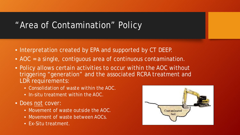#### "Area of Contamination" Policy

- Interpretation created by EPA and supported by CT DEEP.
- AOC = a single, contiguous area of continuous contamination.
- Policy allows certain activities to occur within the AOC without triggering "generation" and the associated RCRA treatment and LDR requirements:
	- Consolidation of waste within the AOC.
	- In-situ treatment within the AOC.
- Does not cover:
	- Movement of waste outside the AOC.
	- Movement of waste between AOCs.
	- Ex-Situ treatment.

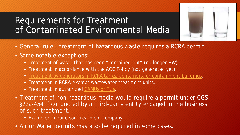## Requirements for Treatment of Contaminated Environmental Media

- General rule: treatment of hazardous waste requires a RCRA permit.
- Some notable exceptions:
	- Treatment of waste that has been "contained-out" (no longer HW).
	- Treatment in accordance with the AOC Policy (not generated yet).
	- [Treatment by generators in RCRA tanks, containers, or containment buildings.](http://www.ct.gov/deep/lib/deep/waste_management_and_disposal/hwac/rb_generator_trtment_in_ctrs__tanks_policy_10-3-91.pdf)
	- Treatment in RCRA-exempt wastewater treatment units.
	- Treatment in authorized [CAMUs or TUs](http://www.ct.gov/deep/lib/deep/waste_management_and_disposal/stewardshippermits/remediationwastemanagementcamutu.pdf).
- Treatment of non-hazardous media would require a permit under CGS §22a-454 if conducted by a third-party entity engaged in the business of such treatment.
	- Example: mobile soil treatment company.
- Air or Water permits may also be required in some cases.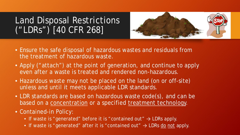## Land Disposal Restrictions ("LDRs") [40 CFR 268]



- Ensure the safe disposal of hazardous wastes and residuals from the treatment of hazardous waste.
- Apply ("attach") at the point of generation, and continue to apply even after a waste is treated and rendered non-hazardous.
- Hazardous waste may not be placed on the land (on or off-site) unless and until it meets applicable LDR standards.
- LDR standards are based on hazardous waste code(s), and can be based on a concentration or a specified treatment technology.
- Contained-in Policy:
	- If waste is "generated" before it is "contained out"  $\rightarrow$  LDRs apply.
	- If waste is "generated" after it is "contained out"  $\rightarrow$  LDRs do not apply.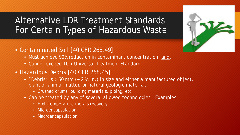## Alternative LDR Treatment Standards For Certain Types of Hazardous Waste



- Must achieve 90% reduction in contaminant concentration; and,
- Cannot exceed 10 x Universal Treatment Standard.
- Hazardous Debris [40 CFR 268.45]:
	- "Debris" is  $> 60$  mm ( $\sim 2$  % in.) in size and either a manufactured object, plant or animal matter, or natural geologic material.
		- Crushed drums, building materials, piping, etc.
	- Can be treated by any of several allowed technologies. Examples:
		- High-temperature metals recovery.
		- Microencapsulation.
		- Macroencapsulation.

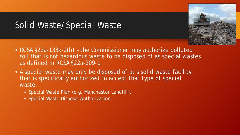## Solid Waste/Special Waste



- RCSA §22a-133k-2(h) the Commissioner may authorize polluted soil that is not hazardous waste to be disposed of as special wastes as defined in RCSA §22a-209-1.
- A special waste may only be disposed of at s solid waste facility that is specifically authorized to accept that type of special waste.
	- Special Waste Plan (e.g. Manchester Landfill).
	- Special Waste Disposal Authorization.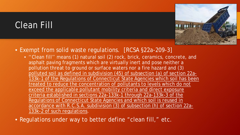## Clean Fill



- Exempt from solid waste regulations. [RCSA §22a-209-3]
	- ''Clean fill'' means (1) natural soil (2) rock, brick, ceramics, concrete, and asphalt paving fragments which are virtually inert and pose neither a pollution threat to ground or surface waters nor a fire hazard and (3) polluted soil as defined in subdivision (45) of subsection (a) of section 22a-133k-1 of the Regulations of Connecticut State Agencies which soil has been treated to reduce the concentration of pollutants to levels which do not exceed the applicable pollutant mobility criteria and direct exposure criteria established in sections 22a-133k-1 through 22a-133k-3 of the Regulations of Connecticut State Agencies and which soil is reused in accordance with R.C.S.A. subdivision (3) of subsection (h) of section 22a-133k-2 of such regulations.
- Regulations under way to better define "clean fill," etc.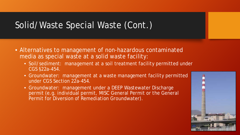## Solid/Waste Special Waste (Cont.)

- Alternatives to management of non-hazardous contaminated media as special waste at a solid waste facility:
	- Soil/sediment: management at a soil treatment facility permitted under CGS §22a-454.
	- Groundwater: management at a waste management facility permitted under CGS Section 22a-454.
	- Groundwater: management under a DEEP Wastewater Discharge permit (e.g. individual permit, MISC General Permit or the General Permit for Diversion of Remediation Groundwater).

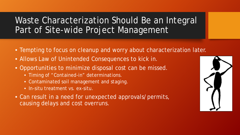Waste Characterization Should Be an Integral Part of Site-wide Project Management

- Tempting to focus on cleanup and worry about characterization later.
- Allows Law of Unintended Consequences to kick in.
- Opportunities to minimize disposal cost can be missed.
	- Timing of "Contained-in" determinations.
	- Contaminated soil management and staging.
	- In-situ treatment vs. ex-situ.
- Can result in a need for unexpected approvals/permits, causing delays and cost overruns.